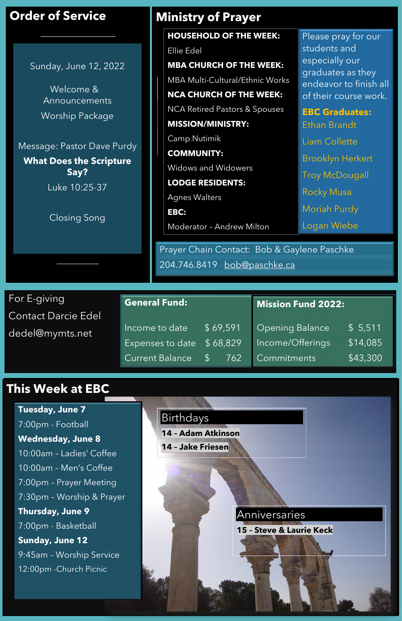For E-giving Contact Darcie Edel dedel@mymts.net

## **This Week at EBC**

#### **General Fund:**

| Income to date                     | \$69,591 |   |
|------------------------------------|----------|---|
| Expenses to date $\sqrt{5}$ 68,829 |          | ħ |
| Current Balance \$ 762             |          |   |

# **Order of Service**

Sunday, June 12, 2022

Welcome & Announcements Worship Package

Message: Pastor Dave Purdy

**What Does the Scripture Say?**

Luke 10:25-37

Closing Song

Prayer Chain Contact: Bob & Gaylene Paschke 204.746.8419 [bob@paschke.ca](mailto:bob@paschke.ca)

#### Birthdays

**14 – Adam Atkinson**

**14 – Jake Friesen**

Please pray for our students and especially our graduates as they endeavor to finish all of their course work.

**EBC Graduates:** Ethan Brandt Liam Collette Brooklyn Herkert Troy McDougall Rocky Musa Moriah Purdy Logan Wiebe

| <b>Mission Fund 2022:</b> |  |
|---------------------------|--|
|                           |  |

| Opening Balance  | \$5,511  |
|------------------|----------|
| Income/Offerings | \$14,085 |
| Commitments      | \$43,300 |

Anniversaries

**15 – Steve & Laurie Keck**

### **Ministry of Prayer**

**Tuesday, June 7** 7:00pm - Football **Wednesday, June 8** 10:00am – Ladies' Coffee

10:00am – Men's Coffee 7:00pm – Prayer Meeting 7:30pm – Worship & Prayer **Thursday, June 9** 7:00pm - Basketball **Sunday, June 12** 9:45am – Worship Service 12:00pm -Church Picnic

**HOUSEHOLD OF THE WEEK:** 

Ellie Edel

**MBA CHURCH OF THE WEEK:**

MBA Multi-Cultural/Ethnic Works

**NCA CHURCH OF THE WEEK:**  NCA Retired Pastors & Spouses

**MISSION/MINISTRY:** 

Camp Nutimik

**COMMUNITY:** Widows and Widowers

**LODGE RESIDENTS:** 

Agnes Walters

**EBC:** Moderator – Andrew Milton